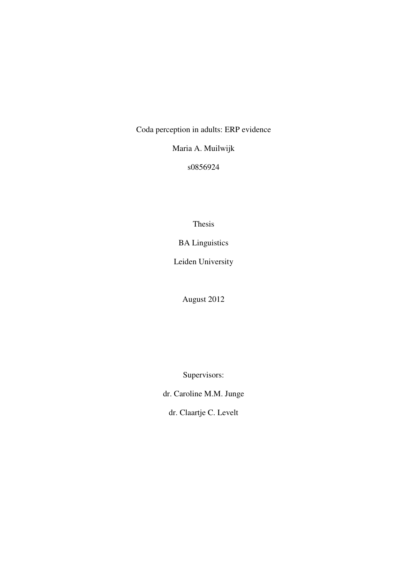Coda perception in adults: ERP evidence

Maria A. Muilwijk

s0856924

Thesis

BA Linguistics

Leiden University

August 2012

Supervisors:

dr. Caroline M.M. Junge

dr. Claartje C. Levelt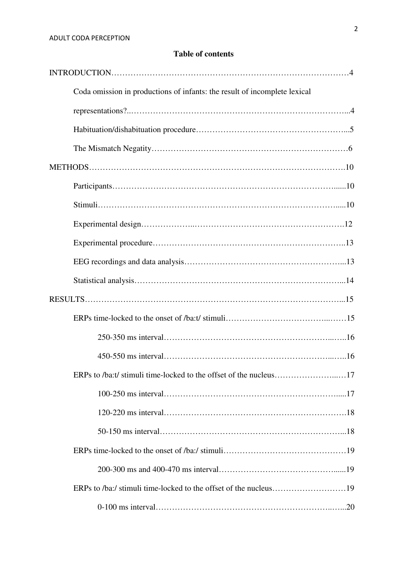# **Table of contents**

| Coda omission in productions of infants: the result of incomplete lexical |     |
|---------------------------------------------------------------------------|-----|
|                                                                           |     |
|                                                                           |     |
|                                                                           |     |
|                                                                           |     |
|                                                                           |     |
|                                                                           |     |
|                                                                           |     |
|                                                                           |     |
|                                                                           |     |
|                                                                           |     |
|                                                                           |     |
|                                                                           |     |
|                                                                           |     |
|                                                                           |     |
| ERPs to /ba:t/ stimuli time-locked to the offset of the nucleus           | .17 |
|                                                                           |     |
|                                                                           |     |
|                                                                           |     |
|                                                                           |     |
|                                                                           |     |
|                                                                           |     |
|                                                                           |     |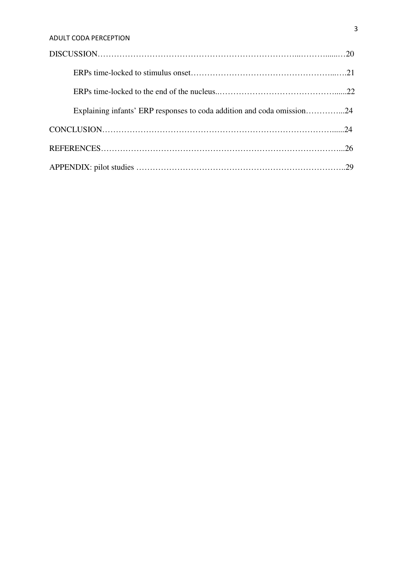| Explaining infants' ERP responses to coda addition and coda omission24 |  |
|------------------------------------------------------------------------|--|
|                                                                        |  |
|                                                                        |  |
|                                                                        |  |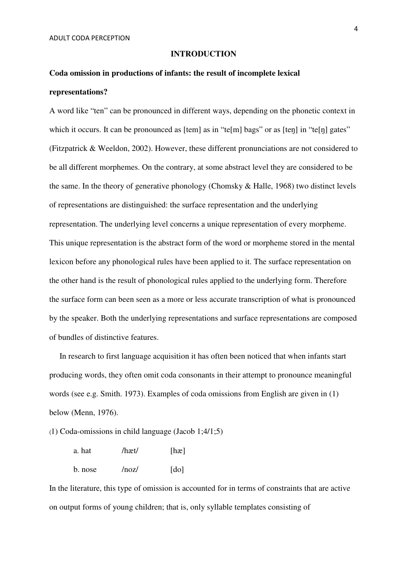#### **INTRODUCTION**

# **Coda omission in productions of infants: the result of incomplete lexical representations?**

A word like "ten" can be pronounced in different ways, depending on the phonetic context in which it occurs. It can be pronounced as [tem] as in "te[m] bags" or as [ten] in "te[n] gates" (Fitzpatrick & Weeldon, 2002). However, these different pronunciations are not considered to be all different morphemes. On the contrary, at some abstract level they are considered to be the same. In the theory of generative phonology (Chomsky & Halle, 1968) two distinct levels of representations are distinguished: the surface representation and the underlying representation. The underlying level concerns a unique representation of every morpheme. This unique representation is the abstract form of the word or morpheme stored in the mental lexicon before any phonological rules have been applied to it. The surface representation on the other hand is the result of phonological rules applied to the underlying form. Therefore the surface form can been seen as a more or less accurate transcription of what is pronounced by the speaker. Both the underlying representations and surface representations are composed of bundles of distinctive features.

 In research to first language acquisition it has often been noticed that when infants start producing words, they often omit coda consonants in their attempt to pronounce meaningful words (see e.g. Smith. 1973). Examples of coda omissions from English are given in (1) below (Menn, 1976).

(1) Coda-omissions in child language (Jacob 1;4/1;5)

| a. hat  | /hæt/ | [ha]                 |
|---------|-------|----------------------|
| b. nose | /noz/ | $\lceil$ do $\rceil$ |

In the literature, this type of omission is accounted for in terms of constraints that are active on output forms of young children; that is, only syllable templates consisting of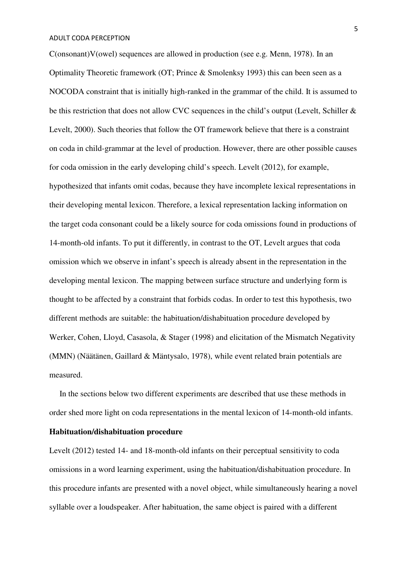$C(onsonant)V(owel)$  sequences are allowed in production (see e.g. Menn, 1978). In an Optimality Theoretic framework (OT; Prince & Smolenksy 1993) this can been seen as a NOCODA constraint that is initially high-ranked in the grammar of the child. It is assumed to be this restriction that does not allow CVC sequences in the child's output (Levelt, Schiller & Levelt, 2000). Such theories that follow the OT framework believe that there is a constraint on coda in child-grammar at the level of production. However, there are other possible causes for coda omission in the early developing child's speech. Levelt (2012), for example, hypothesized that infants omit codas, because they have incomplete lexical representations in their developing mental lexicon. Therefore, a lexical representation lacking information on the target coda consonant could be a likely source for coda omissions found in productions of 14-month-old infants. To put it differently, in contrast to the OT, Levelt argues that coda omission which we observe in infant's speech is already absent in the representation in the developing mental lexicon. The mapping between surface structure and underlying form is thought to be affected by a constraint that forbids codas. In order to test this hypothesis, two different methods are suitable: the habituation/dishabituation procedure developed by Werker, Cohen, Lloyd, Casasola, & Stager (1998) and elicitation of the Mismatch Negativity (MMN) (Näätänen, Gaillard & Mäntysalo, 1978), while event related brain potentials are measured.

 In the sections below two different experiments are described that use these methods in order shed more light on coda representations in the mental lexicon of 14-month-old infants.

# **Habituation/dishabituation procedure**

Levelt (2012) tested 14- and 18-month-old infants on their perceptual sensitivity to coda omissions in a word learning experiment, using the habituation/dishabituation procedure. In this procedure infants are presented with a novel object, while simultaneously hearing a novel syllable over a loudspeaker. After habituation, the same object is paired with a different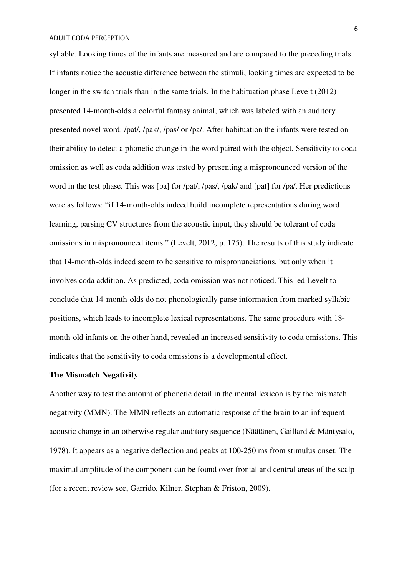syllable. Looking times of the infants are measured and are compared to the preceding trials. If infants notice the acoustic difference between the stimuli, looking times are expected to be longer in the switch trials than in the same trials. In the habituation phase Levelt (2012) presented 14-month-olds a colorful fantasy animal, which was labeled with an auditory presented novel word: /pat/, /pak/, /pas/ or /pa/. After habituation the infants were tested on their ability to detect a phonetic change in the word paired with the object. Sensitivity to coda omission as well as coda addition was tested by presenting a mispronounced version of the word in the test phase. This was [pa] for /pat/, /pas/, /pak/ and [pat] for /pa/. Her predictions were as follows: "if 14-month-olds indeed build incomplete representations during word learning, parsing CV structures from the acoustic input, they should be tolerant of coda omissions in mispronounced items." (Levelt, 2012, p. 175). The results of this study indicate that 14-month-olds indeed seem to be sensitive to mispronunciations, but only when it involves coda addition. As predicted, coda omission was not noticed. This led Levelt to conclude that 14-month-olds do not phonologically parse information from marked syllabic positions, which leads to incomplete lexical representations. The same procedure with 18 month-old infants on the other hand, revealed an increased sensitivity to coda omissions. This indicates that the sensitivity to coda omissions is a developmental effect.

## **The Mismatch Negativity**

Another way to test the amount of phonetic detail in the mental lexicon is by the mismatch negativity (MMN). The MMN reflects an automatic response of the brain to an infrequent acoustic change in an otherwise regular auditory sequence (Näätänen, Gaillard & Mäntysalo, 1978). It appears as a negative deflection and peaks at 100-250 ms from stimulus onset. The maximal amplitude of the component can be found over frontal and central areas of the scalp (for a recent review see, Garrido, Kilner, Stephan & Friston, 2009).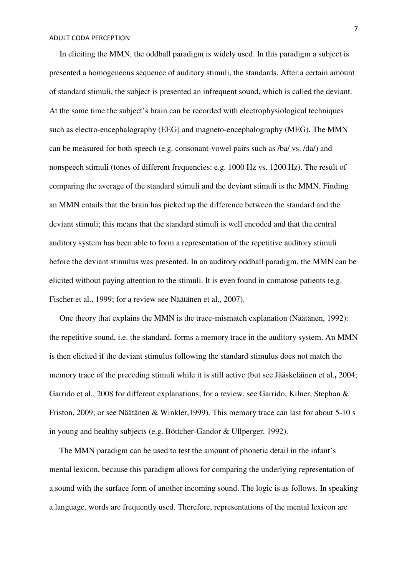In eliciting the MMN, the oddball paradigm is widely used. In this paradigm a subject is presented a homogeneous sequence of auditory stimuli, the standards. After a certain amount of standard stimuli, the subject is presented an infrequent sound, which is called the deviant. At the same time the subject's brain can be recorded with electrophysiological techniques such as electro-encephalography (EEG) and magneto-encephalography (MEG). The MMN can be measured for both speech (e.g. consonant-vowel pairs such as /ba/ vs. /da/) and nonspeech stimuli (tones of different frequencies: e.g. 1000 Hz vs. 1200 Hz). The result of comparing the average of the standard stimuli and the deviant stimuli is the MMN. Finding an MMN entails that the brain has picked up the difference between the standard and the deviant stimuli; this means that the standard stimuli is well encoded and that the central auditory system has been able to form a representation of the repetitive auditory stimuli before the deviant stimulus was presented. In an auditory oddball paradigm, the MMN can be elicited without paying attention to the stimuli. It is even found in comatose patients (e.g. Fischer et al., 1999; for a review see Näätänen et al., 2007).

 One theory that explains the MMN is the trace-mismatch explanation (Näätänen, 1992): the repetitive sound, i.e. the standard, forms a memory trace in the auditory system. An MMN is then elicited if the deviant stimulus following the standard stimulus does not match the memory trace of the preceding stimuli while it is still active (but see Jääskeläinen et al.**,** 2004; Garrido et al., 2008 for different explanations; for a review, see Garrido, Kilner, Stephan & Friston, 2009; or see Näätänen & Winkler,1999). This memory trace can last for about 5-10 s in young and healthy subjects (e.g. Böttcher-Gandor & Ullperger, 1992).

 The MMN paradigm can be used to test the amount of phonetic detail in the infant's mental lexicon, because this paradigm allows for comparing the underlying representation of a sound with the surface form of another incoming sound. The logic is as follows. In speaking a language, words are frequently used. Therefore, representations of the mental lexicon are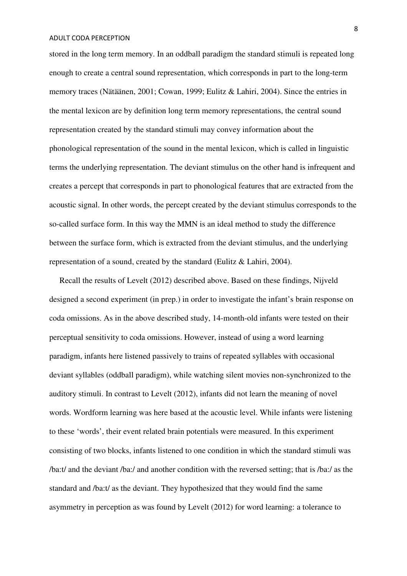stored in the long term memory. In an oddball paradigm the standard stimuli is repeated long enough to create a central sound representation, which corresponds in part to the long-term memory traces (Nätäänen, 2001; Cowan, 1999; Eulitz & Lahiri, 2004). Since the entries in the mental lexicon are by definition long term memory representations, the central sound representation created by the standard stimuli may convey information about the phonological representation of the sound in the mental lexicon, which is called in linguistic terms the underlying representation. The deviant stimulus on the other hand is infrequent and creates a percept that corresponds in part to phonological features that are extracted from the acoustic signal. In other words, the percept created by the deviant stimulus corresponds to the so-called surface form. In this way the MMN is an ideal method to study the difference between the surface form, which is extracted from the deviant stimulus, and the underlying representation of a sound, created by the standard (Eulitz & Lahiri, 2004).

 Recall the results of Levelt (2012) described above. Based on these findings, Nijveld designed a second experiment (in prep.) in order to investigate the infant's brain response on coda omissions. As in the above described study, 14-month-old infants were tested on their perceptual sensitivity to coda omissions. However, instead of using a word learning paradigm, infants here listened passively to trains of repeated syllables with occasional deviant syllables (oddball paradigm), while watching silent movies non-synchronized to the auditory stimuli. In contrast to Levelt (2012), infants did not learn the meaning of novel words. Wordform learning was here based at the acoustic level. While infants were listening to these 'words', their event related brain potentials were measured. In this experiment consisting of two blocks, infants listened to one condition in which the standard stimuli was /ba:t/ and the deviant /ba:/ and another condition with the reversed setting; that is /ba:/ as the standard and /ba:t/ as the deviant. They hypothesized that they would find the same asymmetry in perception as was found by Levelt (2012) for word learning: a tolerance to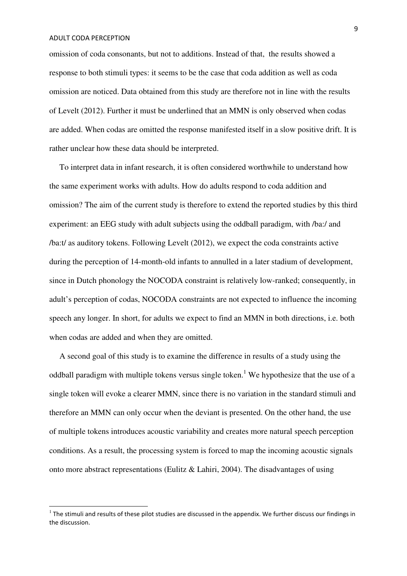l

omission of coda consonants, but not to additions. Instead of that, the results showed a response to both stimuli types: it seems to be the case that coda addition as well as coda omission are noticed. Data obtained from this study are therefore not in line with the results of Levelt (2012). Further it must be underlined that an MMN is only observed when codas are added. When codas are omitted the response manifested itself in a slow positive drift. It is rather unclear how these data should be interpreted.

 To interpret data in infant research, it is often considered worthwhile to understand how the same experiment works with adults. How do adults respond to coda addition and omission? The aim of the current study is therefore to extend the reported studies by this third experiment: an EEG study with adult subjects using the oddball paradigm, with /ba:/ and /ba:t/ as auditory tokens. Following Levelt (2012), we expect the coda constraints active during the perception of 14-month-old infants to annulled in a later stadium of development, since in Dutch phonology the NOCODA constraint is relatively low-ranked; consequently, in adult's perception of codas, NOCODA constraints are not expected to influence the incoming speech any longer. In short, for adults we expect to find an MMN in both directions, i.e. both when codas are added and when they are omitted.

 A second goal of this study is to examine the difference in results of a study using the oddball paradigm with multiple tokens versus single token.<sup>1</sup> We hypothesize that the use of a single token will evoke a clearer MMN, since there is no variation in the standard stimuli and therefore an MMN can only occur when the deviant is presented. On the other hand, the use of multiple tokens introduces acoustic variability and creates more natural speech perception conditions. As a result, the processing system is forced to map the incoming acoustic signals onto more abstract representations (Eulitz & Lahiri, 2004). The disadvantages of using

 $1$  The stimuli and results of these pilot studies are discussed in the appendix. We further discuss our findings in the discussion.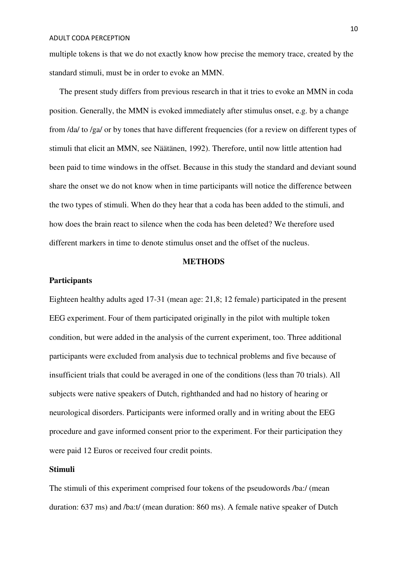multiple tokens is that we do not exactly know how precise the memory trace, created by the standard stimuli, must be in order to evoke an MMN.

 The present study differs from previous research in that it tries to evoke an MMN in coda position. Generally, the MMN is evoked immediately after stimulus onset, e.g. by a change from /da/ to /ga/ or by tones that have different frequencies (for a review on different types of stimuli that elicit an MMN, see Näätänen, 1992). Therefore, until now little attention had been paid to time windows in the offset. Because in this study the standard and deviant sound share the onset we do not know when in time participants will notice the difference between the two types of stimuli. When do they hear that a coda has been added to the stimuli, and how does the brain react to silence when the coda has been deleted? We therefore used different markers in time to denote stimulus onset and the offset of the nucleus.

## **METHODS**

## **Participants**

Eighteen healthy adults aged 17-31 (mean age: 21,8; 12 female) participated in the present EEG experiment. Four of them participated originally in the pilot with multiple token condition, but were added in the analysis of the current experiment, too. Three additional participants were excluded from analysis due to technical problems and five because of insufficient trials that could be averaged in one of the conditions (less than 70 trials). All subjects were native speakers of Dutch, righthanded and had no history of hearing or neurological disorders. Participants were informed orally and in writing about the EEG procedure and gave informed consent prior to the experiment. For their participation they were paid 12 Euros or received four credit points.

# **Stimuli**

The stimuli of this experiment comprised four tokens of the pseudowords /ba:/ (mean duration: 637 ms) and /ba:t/ (mean duration: 860 ms). A female native speaker of Dutch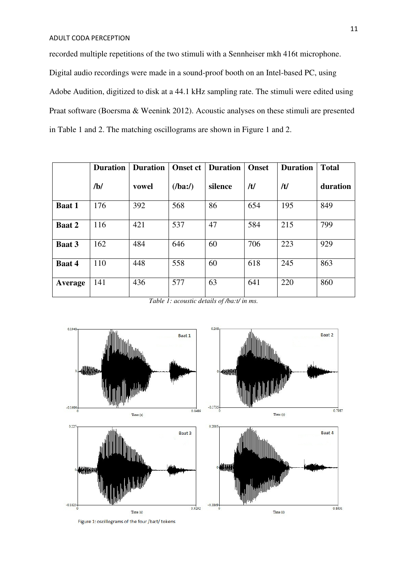recorded multiple repetitions of the two stimuli with a Sennheiser mkh 416t microphone. Digital audio recordings were made in a sound-proof booth on an Intel-based PC, using Adobe Audition, digitized to disk at a 44.1 kHz sampling rate. The stimuli were edited using Praat software (Boersma & Weenink 2012). Acoustic analyses on these stimuli are presented in Table 1 and 2. The matching oscillograms are shown in Figure 1 and 2.

|               | <b>Duration</b> | <b>Duration</b> | <b>Onset ct</b> | <b>Duration</b> | <b>Onset</b> | <b>Duration</b> | <b>Total</b> |
|---------------|-----------------|-----------------|-----------------|-----------------|--------------|-----------------|--------------|
|               | /b/             | vowel           | (lba:')         | silence         | /t/          | /t/             | duration     |
| <b>Baat 1</b> | 176             | 392             | 568             | 86              | 654          | 195             | 849          |
| <b>Baat 2</b> | 116             | 421             | 537             | 47              | 584          | 215             | 799          |
| Baat 3        | 162             | 484             | 646             | 60              | 706          | 223             | 929          |
| Baat 4        | 110             | 448             | 558             | 60              | 618          | 245             | 863          |
| Average       | 141             | 436             | 577             | 63              | 641          | 220             | 860          |

*Table 1: acoustic details of /ba:t/ in ms.* 



Figure 1: oscillograms of the four /ba:t/ tokens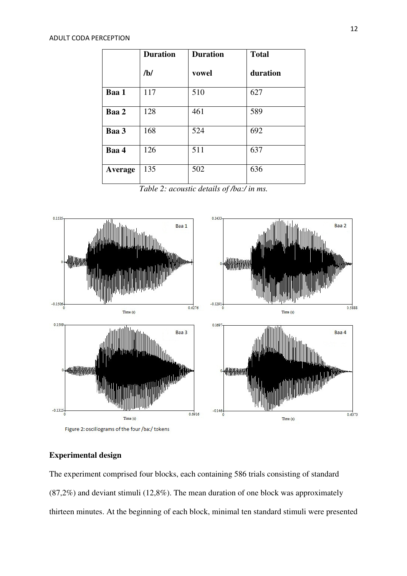|         | <b>Duration</b> | <b>Duration</b> | <b>Total</b> |
|---------|-----------------|-----------------|--------------|
|         | /b/             | vowel           | duration     |
| Baa 1   | 117             | 510             | 627          |
| Baa 2   | 128             | 461             | 589          |
| Baa 3   | 168             | 524             | 692          |
| Baa 4   | 126             | 511             | 637          |
| Average | 135             | 502             | 636          |

*Table 2: acoustic details of /ba:/ in ms.*



Figure 2: oscillograms of the four /ba:/ tokens

# **Experimental design**

The experiment comprised four blocks, each containing 586 trials consisting of standard (87,2%) and deviant stimuli (12,8%). The mean duration of one block was approximately thirteen minutes. At the beginning of each block, minimal ten standard stimuli were presented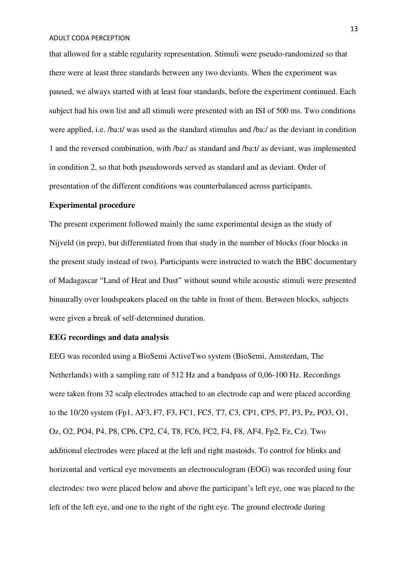that allowed for a stable regularity representation. Stimuli were pseudo-randomized so that there were at least three standards between any two deviants. When the experiment was paused, we always started with at least four standards, before the experiment continued. Each subject had his own list and all stimuli were presented with an ISI of 500 ms. Two conditions were applied, i.e. /ba:t/ was used as the standard stimulus and /ba:/ as the deviant in condition 1 and the reversed combination, with /ba:/ as standard and /ba:t/ as deviant, was implemented in condition 2, so that both pseudowords served as standard and as deviant. Order of presentation of the different conditions was counterbalanced across participants.

## **Experimental procedure**

The present experiment followed mainly the same experimental design as the study of Nijveld (in prep), but differentiated from that study in the number of blocks (four blocks in the present study instead of two). Participants were instructed to watch the BBC documentary of Madagascar "Land of Heat and Dust" without sound while acoustic stimuli were presented binaurally over loudspeakers placed on the table in front of them. Between blocks, subjects were given a break of self-determined duration.

## **EEG recordings and data analysis**

EEG was recorded using a BioSemi ActiveTwo system (BioSemi, Amsterdam, The Netherlands) with a sampling rate of 512 Hz and a bandpass of 0,06-100 Hz. Recordings were taken from 32 scalp electrodes attached to an electrode cap and were placed according to the 10/20 system (Fp1, AF3, F7, F3, FC1, FC5, T7, C3, CP1, CP5, P7, P3, Pz, PO3, O1, Oz, O2, PO4, P4, P8, CP6, CP2, C4, T8, FC6, FC2, F4, F8, AF4, Fp2, Fz, Cz). Two additional electrodes were placed at the left and right mastoids. To control for blinks and horizontal and vertical eye movements an electrooculogram (EOG) was recorded using four electrodes: two were placed below and above the participant's left eye, one was placed to the left of the left eye, and one to the right of the right eye. The ground electrode during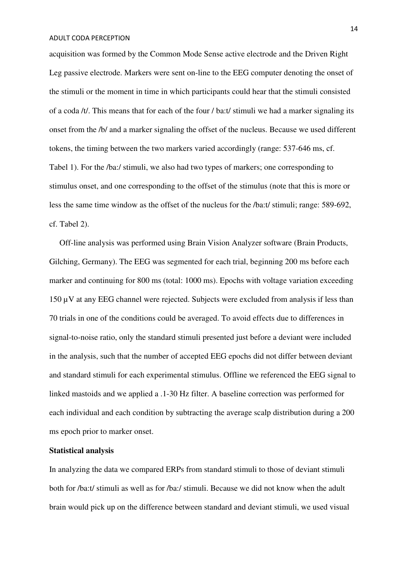acquisition was formed by the Common Mode Sense active electrode and the Driven Right Leg passive electrode. Markers were sent on-line to the EEG computer denoting the onset of the stimuli or the moment in time in which participants could hear that the stimuli consisted of a coda /t/. This means that for each of the four / ba:t/ stimuli we had a marker signaling its onset from the /b/ and a marker signaling the offset of the nucleus. Because we used different tokens, the timing between the two markers varied accordingly (range: 537-646 ms, cf. Tabel 1). For the /ba:/ stimuli, we also had two types of markers; one corresponding to stimulus onset, and one corresponding to the offset of the stimulus (note that this is more or less the same time window as the offset of the nucleus for the /ba:t/ stimuli; range: 589-692, cf. Tabel 2).

 Off-line analysis was performed using Brain Vision Analyzer software (Brain Products, Gilching, Germany). The EEG was segmented for each trial, beginning 200 ms before each marker and continuing for 800 ms (total: 1000 ms). Epochs with voltage variation exceeding 150 µV at any EEG channel were rejected. Subjects were excluded from analysis if less than 70 trials in one of the conditions could be averaged. To avoid effects due to differences in signal-to-noise ratio, only the standard stimuli presented just before a deviant were included in the analysis, such that the number of accepted EEG epochs did not differ between deviant and standard stimuli for each experimental stimulus. Offline we referenced the EEG signal to linked mastoids and we applied a .1-30 Hz filter. A baseline correction was performed for each individual and each condition by subtracting the average scalp distribution during a 200 ms epoch prior to marker onset.

## **Statistical analysis**

In analyzing the data we compared ERPs from standard stimuli to those of deviant stimuli both for /ba:t/ stimuli as well as for /ba:/ stimuli. Because we did not know when the adult brain would pick up on the difference between standard and deviant stimuli, we used visual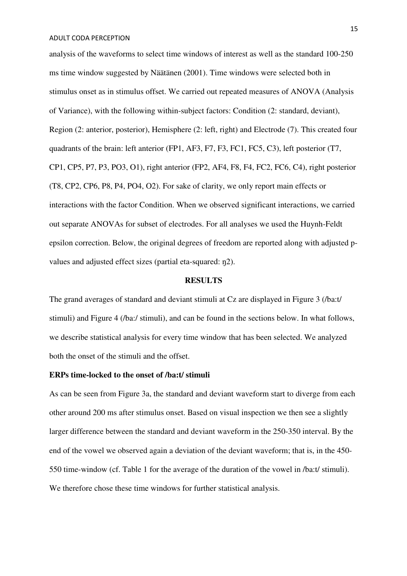analysis of the waveforms to select time windows of interest as well as the standard 100-250 ms time window suggested by Näätänen (2001). Time windows were selected both in stimulus onset as in stimulus offset. We carried out repeated measures of ANOVA (Analysis of Variance), with the following within-subject factors: Condition (2: standard, deviant), Region (2: anterior, posterior), Hemisphere (2: left, right) and Electrode (7). This created four quadrants of the brain: left anterior (FP1, AF3, F7, F3, FC1, FC5, C3), left posterior (T7, CP1, CP5, P7, P3, PO3, O1), right anterior (FP2, AF4, F8, F4, FC2, FC6, C4), right posterior (T8, CP2, CP6, P8, P4, PO4, O2). For sake of clarity, we only report main effects or interactions with the factor Condition. When we observed significant interactions, we carried out separate ANOVAs for subset of electrodes. For all analyses we used the Huynh-Feldt epsilon correction. Below, the original degrees of freedom are reported along with adjusted pvalues and adjusted effect sizes (partial eta-squared: ŋ2).

## **RESULTS**

The grand averages of standard and deviant stimuli at Cz are displayed in Figure 3 (/ba:t/ stimuli) and Figure 4 (/ba:/ stimuli), and can be found in the sections below. In what follows, we describe statistical analysis for every time window that has been selected. We analyzed both the onset of the stimuli and the offset.

## **ERPs time-locked to the onset of /ba:t/ stimuli**

As can be seen from Figure 3a, the standard and deviant waveform start to diverge from each other around 200 ms after stimulus onset. Based on visual inspection we then see a slightly larger difference between the standard and deviant waveform in the 250-350 interval. By the end of the vowel we observed again a deviation of the deviant waveform; that is, in the 450- 550 time-window (cf. Table 1 for the average of the duration of the vowel in /ba:t/ stimuli). We therefore chose these time windows for further statistical analysis.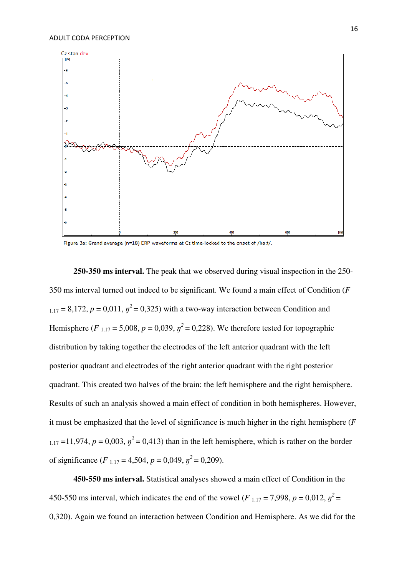

Figure 3a: Grand average (n=18) ERP waveforms at Cz time-locked to the onset of /ba:t/.

**250-350 ms interval.** The peak that we observed during visual inspection in the 250- 350 ms interval turned out indeed to be significant. We found a main effect of Condition (*F*  $_{1.17}$  = 8,172,  $p = 0.011$ ,  $p^2 = 0.325$ ) with a two-way interaction between Condition and Hemisphere  $(F_{1,17} = 5,008, p = 0,039, y^2 = 0,228)$ . We therefore tested for topographic distribution by taking together the electrodes of the left anterior quadrant with the left posterior quadrant and electrodes of the right anterior quadrant with the right posterior quadrant. This created two halves of the brain: the left hemisphere and the right hemisphere. Results of such an analysis showed a main effect of condition in both hemispheres. However, it must be emphasized that the level of significance is much higher in the right hemisphere (*F*  $1.17 = 11,974$ ,  $p = 0,003$ ,  $p^2 = 0,413$ ) than in the left hemisphere, which is rather on the border of significance ( $F_{1,17} = 4,504$ ,  $p = 0,049$ ,  $p^2 = 0,209$ ).

**450-550 ms interval.** Statistical analyses showed a main effect of Condition in the 450-550 ms interval, which indicates the end of the vowel ( $F_{1,17} = 7,998$ ,  $p = 0,012$ ,  $p^2 =$ 0,320). Again we found an interaction between Condition and Hemisphere. As we did for the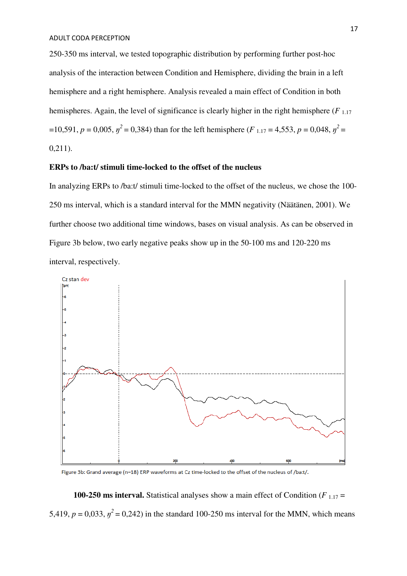250-350 ms interval, we tested topographic distribution by performing further post-hoc analysis of the interaction between Condition and Hemisphere, dividing the brain in a left hemisphere and a right hemisphere. Analysis revealed a main effect of Condition in both hemispheres. Again, the level of significance is clearly higher in the right hemisphere  $(F_{1,17})$  $=10,591, p = 0,005, \eta^2 = 0,384$ ) than for the left hemisphere (*F*<sub>1.17</sub> = 4,553, *p* = 0,048,  $\eta^2 =$ 0,211).

## **ERPs to /ba:t/ stimuli time-locked to the offset of the nucleus**

In analyzing ERPs to /ba:t/ stimuli time-locked to the offset of the nucleus, we chose the 100- 250 ms interval, which is a standard interval for the MMN negativity (Näätänen, 2001). We further choose two additional time windows, bases on visual analysis. As can be observed in Figure 3b below, two early negative peaks show up in the 50-100 ms and 120-220 ms interval, respectively.



Figure 3b: Grand average (n=18) ERP waveforms at Cz time-locked to the offset of the nucleus of /ba:t/.

**100-250 ms interval.** Statistical analyses show a main effect of Condition ( $F_{1,17}$  = 5,419,  $p = 0.033$ ,  $p^2 = 0.242$ ) in the standard 100-250 ms interval for the MMN, which means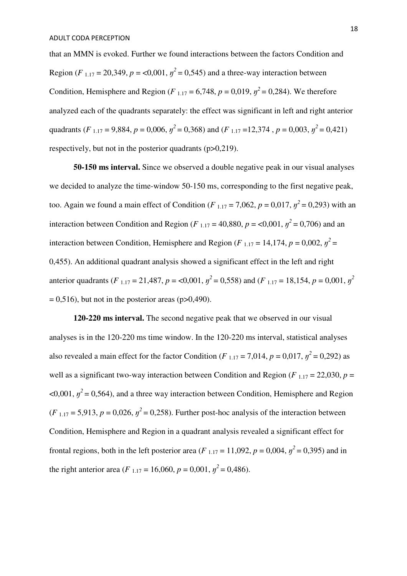that an MMN is evoked. Further we found interactions between the factors Condition and Region (*F*<sub>1.17</sub> = 20,349, *p* = <0,001,  $y^2$  = 0,545) and a three-way interaction between Condition, Hemisphere and Region ( $F_{1,17} = 6,748$ ,  $p = 0,019$ ,  $p^2 = 0,284$ ). We therefore analyzed each of the quadrants separately: the effect was significant in left and right anterior quadrants (*F* <sub>1.17</sub> = 9,884, *p* = 0,006,  $y^2$  = 0,368) and (*F* <sub>1.17</sub> =12,374, *p* = 0,003,  $y^2$  = 0,421) respectively, but not in the posterior quadrants (p>0,219).

**50-150 ms interval.** Since we observed a double negative peak in our visual analyses we decided to analyze the time-window 50-150 ms, corresponding to the first negative peak, too. Again we found a main effect of Condition (*F* <sub>1.17</sub> = 7,062, *p* = 0,017,  $\eta^2$  = 0,293) with an interaction between Condition and Region (*F* <sub>1.17</sub> = 40,880, *p* = <0,001,  $y^2$  = 0,706) and an interaction between Condition, Hemisphere and Region ( $F_{1,17} = 14,174$ ,  $p = 0,002$ ,  $p^2 =$ 0,455). An additional quadrant analysis showed a significant effect in the left and right anterior quadrants (*F* <sub>1.17</sub> = 21,487, *p* = <0,001,  $\eta^2$  = 0,558) and (*F* <sub>1.17</sub> = 18,154, *p* = 0,001,  $\eta^2$  $= 0.516$ , but not in the posterior areas (p $> 0.490$ ).

**120-220 ms interval.** The second negative peak that we observed in our visual analyses is in the 120-220 ms time window. In the 120-220 ms interval, statistical analyses also revealed a main effect for the factor Condition ( $F_{1,17} = 7,014$ ,  $p = 0,017$ ,  $p^2 = 0,292$ ) as well as a significant two-way interaction between Condition and Region ( $F_{1,17} = 22,030, p =$  $\langle 0.001, y^2 = 0.564$ , and a three way interaction between Condition, Hemisphere and Region  $(F_{1,17} = 5,913, p = 0,026, y^2 = 0,258)$ . Further post-hoc analysis of the interaction between Condition, Hemisphere and Region in a quadrant analysis revealed a significant effect for frontal regions, both in the left posterior area (*F* <sub>1.17</sub> = 11,092, *p* = 0,004,  $\eta^2$  = 0,395) and in the right anterior area (*F* <sub>1.17</sub> = 16,060, *p* = 0,001,  $y^2$  = 0,486).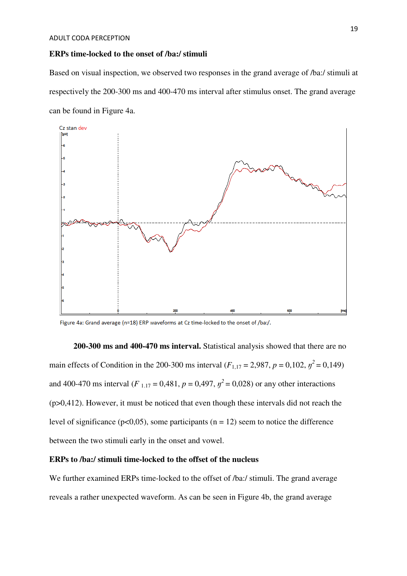#### **ERPs time-locked to the onset of /ba:/ stimuli**

Based on visual inspection, we observed two responses in the grand average of /ba:/ stimuli at respectively the 200-300 ms and 400-470 ms interval after stimulus onset. The grand average can be found in Figure 4a.



Figure 4a: Grand average (n=18) ERP waveforms at Cz time-locked to the onset of /ba:/.

**200-300 ms and 400-470 ms interval.** Statistical analysis showed that there are no main effects of Condition in the 200-300 ms interval ( $F_{1,17} = 2,987$ ,  $p = 0,102$ ,  $p^2 = 0,149$ ) and 400-470 ms interval ( $F_{1,17} = 0,481$ ,  $p = 0,497$ ,  $p^2 = 0,028$ ) or any other interactions (p>0,412). However, it must be noticed that even though these intervals did not reach the level of significance ( $p<0,05$ ), some participants ( $n = 12$ ) seem to notice the difference between the two stimuli early in the onset and vowel.

#### **ERPs to /ba:/ stimuli time-locked to the offset of the nucleus**

We further examined ERPs time-locked to the offset of */ba:/* stimuli. The grand average reveals a rather unexpected waveform. As can be seen in Figure 4b, the grand average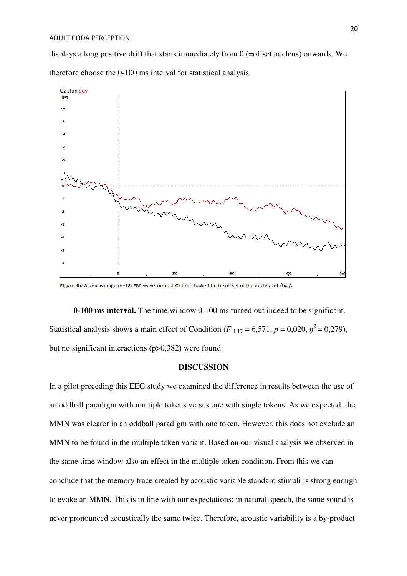displays a long positive drift that starts immediately from 0 (=offset nucleus) onwards. We therefore choose the 0-100 ms interval for statistical analysis.



Figure 4b: Grand average (n=18) ERP waveforms at Cz time-locked to the offset of the nucleus of /ba:/.

**0-100 ms interval.** The time window 0-100 ms turned out indeed to be significant. Statistical analysis shows a main effect of Condition ( $F_{1,17} = 6,571$ ,  $p = 0,020$ ,  $p^2 = 0,279$ ), but no significant interactions (p>0,382) were found.

#### **DISCUSSION**

In a pilot preceding this EEG study we examined the difference in results between the use of an oddball paradigm with multiple tokens versus one with single tokens. As we expected, the MMN was clearer in an oddball paradigm with one token. However, this does not exclude an MMN to be found in the multiple token variant. Based on our visual analysis we observed in the same time window also an effect in the multiple token condition. From this we can conclude that the memory trace created by acoustic variable standard stimuli is strong enough to evoke an MMN. This is in line with our expectations: in natural speech, the same sound is never pronounced acoustically the same twice. Therefore, acoustic variability is a by-product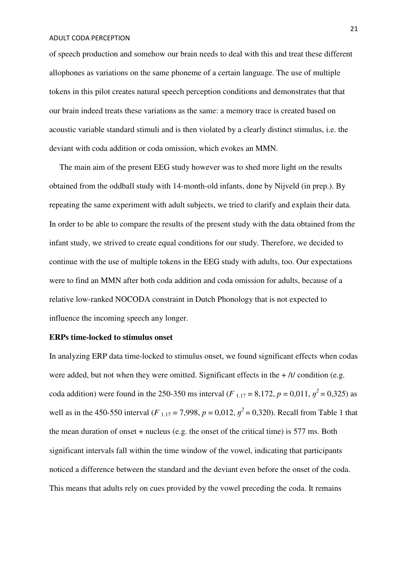of speech production and somehow our brain needs to deal with this and treat these different allophones as variations on the same phoneme of a certain language. The use of multiple tokens in this pilot creates natural speech perception conditions and demonstrates that that our brain indeed treats these variations as the same: a memory trace is created based on acoustic variable standard stimuli and is then violated by a clearly distinct stimulus, i.e. the deviant with coda addition or coda omission, which evokes an MMN.

 The main aim of the present EEG study however was to shed more light on the results obtained from the oddball study with 14-month-old infants, done by Nijveld (in prep.). By repeating the same experiment with adult subjects, we tried to clarify and explain their data. In order to be able to compare the results of the present study with the data obtained from the infant study, we strived to create equal conditions for our study. Therefore, we decided to continue with the use of multiple tokens in the EEG study with adults, too. Our expectations were to find an MMN after both coda addition and coda omission for adults, because of a relative low-ranked NOCODA constraint in Dutch Phonology that is not expected to influence the incoming speech any longer.

# **ERPs time-locked to stimulus onset**

In analyzing ERP data time-locked to stimulus onset, we found significant effects when codas were added, but not when they were omitted. Significant effects in the  $+ /t/$  condition (e.g. coda addition) were found in the 250-350 ms interval ( $F_{1,17} = 8,172, p = 0,011, y^2 = 0,325$ ) as well as in the 450-550 interval (*F* <sub>1.17</sub> = 7,998, *p* = 0,012,  $y^2$  = 0,320). Recall from Table 1 that the mean duration of onset + nucleus (e.g. the onset of the critical time) is 577 ms. Both significant intervals fall within the time window of the vowel, indicating that participants noticed a difference between the standard and the deviant even before the onset of the coda. This means that adults rely on cues provided by the vowel preceding the coda. It remains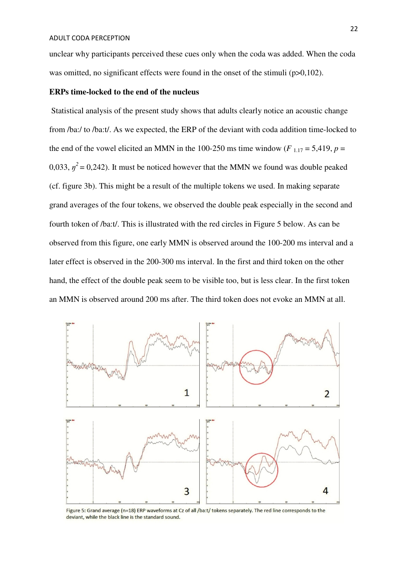unclear why participants perceived these cues only when the coda was added. When the coda was omitted, no significant effects were found in the onset of the stimuli (p>0,102).

#### **ERPs time-locked to the end of the nucleus**

 Statistical analysis of the present study shows that adults clearly notice an acoustic change from /ba:/ to /ba:t/. As we expected, the ERP of the deviant with coda addition time-locked to the end of the vowel elicited an MMN in the 100-250 ms time window ( $F_{1,17} = 5,419$ ,  $p =$ 0,033,  $\eta^2$  = 0,242). It must be noticed however that the MMN we found was double peaked (cf. figure 3b). This might be a result of the multiple tokens we used. In making separate grand averages of the four tokens, we observed the double peak especially in the second and fourth token of /ba:t/. This is illustrated with the red circles in Figure 5 below. As can be observed from this figure, one early MMN is observed around the 100-200 ms interval and a later effect is observed in the 200-300 ms interval. In the first and third token on the other hand, the effect of the double peak seem to be visible too, but is less clear. In the first token an MMN is observed around 200 ms after. The third token does not evoke an MMN at all.



Figure 5: Grand average (n=18) ERP waveforms at Cz of all /ba:t/ tokens separately. The red line corresponds to the deviant, while the black line is the standard sound.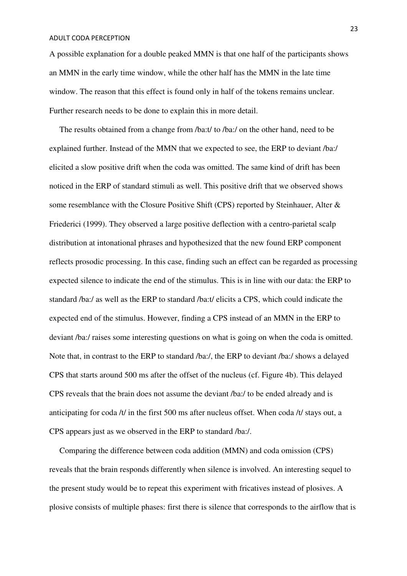A possible explanation for a double peaked MMN is that one half of the participants shows an MMN in the early time window, while the other half has the MMN in the late time window. The reason that this effect is found only in half of the tokens remains unclear. Further research needs to be done to explain this in more detail.

 The results obtained from a change from /ba:t/ to /ba:/ on the other hand, need to be explained further. Instead of the MMN that we expected to see, the ERP to deviant /ba:/ elicited a slow positive drift when the coda was omitted. The same kind of drift has been noticed in the ERP of standard stimuli as well. This positive drift that we observed shows some resemblance with the Closure Positive Shift (CPS) reported by Steinhauer, Alter & Friederici (1999). They observed a large positive deflection with a centro-parietal scalp distribution at intonational phrases and hypothesized that the new found ERP component reflects prosodic processing. In this case, finding such an effect can be regarded as processing expected silence to indicate the end of the stimulus. This is in line with our data: the ERP to standard /ba:/ as well as the ERP to standard /ba:t/ elicits a CPS, which could indicate the expected end of the stimulus. However, finding a CPS instead of an MMN in the ERP to deviant /ba:/ raises some interesting questions on what is going on when the coda is omitted. Note that, in contrast to the ERP to standard /ba:/, the ERP to deviant /ba:/ shows a delayed CPS that starts around 500 ms after the offset of the nucleus (cf. Figure 4b). This delayed CPS reveals that the brain does not assume the deviant /ba:/ to be ended already and is anticipating for coda /t/ in the first 500 ms after nucleus offset. When coda /t/ stays out, a CPS appears just as we observed in the ERP to standard /ba:/.

 Comparing the difference between coda addition (MMN) and coda omission (CPS) reveals that the brain responds differently when silence is involved. An interesting sequel to the present study would be to repeat this experiment with fricatives instead of plosives. A plosive consists of multiple phases: first there is silence that corresponds to the airflow that is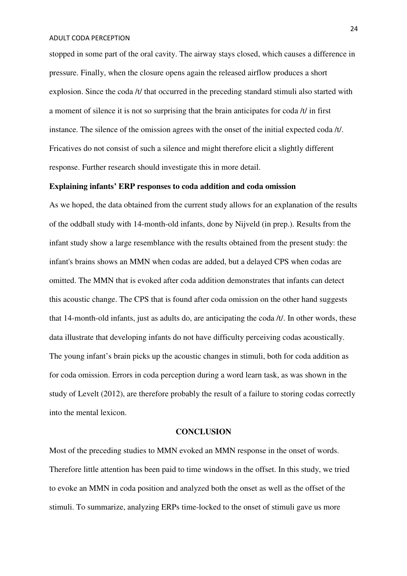stopped in some part of the oral cavity. The airway stays closed, which causes a difference in pressure. Finally, when the closure opens again the released airflow produces a short explosion. Since the coda /t/ that occurred in the preceding standard stimuli also started with a moment of silence it is not so surprising that the brain anticipates for coda /t/ in first instance. The silence of the omission agrees with the onset of the initial expected coda /t/. Fricatives do not consist of such a silence and might therefore elicit a slightly different response. Further research should investigate this in more detail.

## **Explaining infants' ERP responses to coda addition and coda omission**

As we hoped, the data obtained from the current study allows for an explanation of the results of the oddball study with 14-month-old infants, done by Nijveld (in prep.). Results from the infant study show a large resemblance with the results obtained from the present study: the infant's brains shows an MMN when codas are added, but a delayed CPS when codas are omitted. The MMN that is evoked after coda addition demonstrates that infants can detect this acoustic change. The CPS that is found after coda omission on the other hand suggests that 14-month-old infants, just as adults do, are anticipating the coda /t/. In other words, these data illustrate that developing infants do not have difficulty perceiving codas acoustically. The young infant's brain picks up the acoustic changes in stimuli, both for coda addition as for coda omission. Errors in coda perception during a word learn task, as was shown in the study of Levelt (2012), are therefore probably the result of a failure to storing codas correctly into the mental lexicon.

#### **CONCLUSION**

Most of the preceding studies to MMN evoked an MMN response in the onset of words. Therefore little attention has been paid to time windows in the offset. In this study, we tried to evoke an MMN in coda position and analyzed both the onset as well as the offset of the stimuli. To summarize, analyzing ERPs time-locked to the onset of stimuli gave us more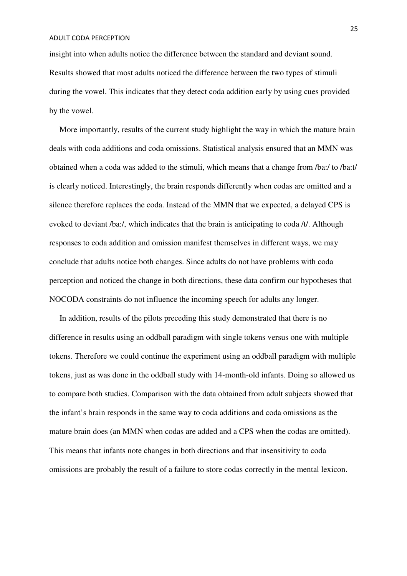insight into when adults notice the difference between the standard and deviant sound. Results showed that most adults noticed the difference between the two types of stimuli during the vowel. This indicates that they detect coda addition early by using cues provided by the vowel.

 More importantly, results of the current study highlight the way in which the mature brain deals with coda additions and coda omissions. Statistical analysis ensured that an MMN was obtained when a coda was added to the stimuli, which means that a change from /ba:/ to /ba:t/ is clearly noticed. Interestingly, the brain responds differently when codas are omitted and a silence therefore replaces the coda. Instead of the MMN that we expected, a delayed CPS is evoked to deviant /ba:/, which indicates that the brain is anticipating to coda /t/. Although responses to coda addition and omission manifest themselves in different ways, we may conclude that adults notice both changes. Since adults do not have problems with coda perception and noticed the change in both directions, these data confirm our hypotheses that NOCODA constraints do not influence the incoming speech for adults any longer.

 In addition, results of the pilots preceding this study demonstrated that there is no difference in results using an oddball paradigm with single tokens versus one with multiple tokens. Therefore we could continue the experiment using an oddball paradigm with multiple tokens, just as was done in the oddball study with 14-month-old infants. Doing so allowed us to compare both studies. Comparison with the data obtained from adult subjects showed that the infant's brain responds in the same way to coda additions and coda omissions as the mature brain does (an MMN when codas are added and a CPS when the codas are omitted). This means that infants note changes in both directions and that insensitivity to coda omissions are probably the result of a failure to store codas correctly in the mental lexicon.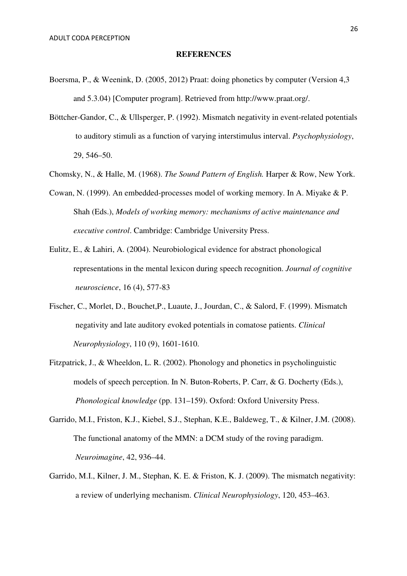#### **REFERENCES**

- Boersma, P., & Weenink, D. (2005, 2012) Praat: doing phonetics by computer (Version 4,3 and 5.3.04) [Computer program]. Retrieved from http://www.praat.org/.
- Böttcher-Gandor, C., & Ullsperger, P. (1992). Mismatch negativity in event-related potentials to auditory stimuli as a function of varying interstimulus interval. *Psychophysiology*, 29, 546–50.
- Chomsky, N., & Halle, M. (1968). *The Sound Pattern of English.* Harper & Row, New York.
- Cowan, N. (1999). An embedded-processes model of working memory. In A. Miyake & P. Shah (Eds.), *Models of working memory: mechanisms of active maintenance and executive control*. Cambridge: Cambridge University Press.
- Eulitz, E., & Lahiri, A. (2004). Neurobiological evidence for abstract phonological representations in the mental lexicon during speech recognition. *Journal of cognitive neuroscience*, 16 (4), 577-83
- Fischer, C., Morlet, D., Bouchet,P., Luaute, J., Jourdan, C., & Salord, F. (1999). Mismatch negativity and late auditory evoked potentials in comatose patients. *Clinical Neurophysiology*, 110 (9), 1601-1610.
- Fitzpatrick, J., & Wheeldon, L. R. (2002). Phonology and phonetics in psycholinguistic models of speech perception. In N. Buton-Roberts, P. Carr, & G. Docherty (Eds.), *Phonological knowledge* (pp. 131–159). Oxford: Oxford University Press.
- Garrido, M.I., Friston, K.J., Kiebel, S.J., Stephan, K.E., Baldeweg, T., & Kilner, J.M. (2008). The functional anatomy of the MMN: a DCM study of the roving paradigm. *Neuroimagine*, 42, 936–44.
- Garrido, M.I., Kilner, J. M., Stephan, K. E. & Friston, K. J. (2009). The mismatch negativity: a review of underlying mechanism. *Clinical Neurophysiology*, 120, 453–463.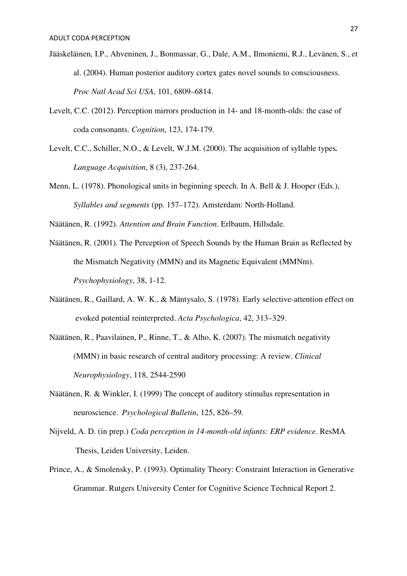- Jääskeläinen, I.P., Ahveninen, J., Bonmassar, G., Dale, A.M., Ilmoniemi, R.J., Levänen, S., et al. (2004). Human posterior auditory cortex gates novel sounds to consciousness. *Proc Natl Acad Sci USA*, 101, 6809–6814.
- Levelt, C.C. (2012). Perception mirrors production in 14- and 18-month-olds: the case of coda consonants. *Cognition*, 123, 174-179.
- Levelt, C.C., Schiller, N.O., & Levelt, W.J.M. (2000). The acquisition of syllable types*. Language Acquisition*, 8 (3), 237-264.
- Menn, L. (1978). Phonological units in beginning speech. In A. Bell & J. Hooper (Eds.), *Syllables and segments* (pp. 157–172). Amsterdam: North-Holland.

Näätänen, R. (1992). *Attention and Brain Function*. Erlbaum, Hillsdale.

- Näätänen, R. (2001). The Perception of Speech Sounds by the Human Brain as Reflected by the Mismatch Negativity (MMN) and its Magnetic Equivalent (MMNm). *Psychophysiology*, 38, 1-12.
- Näätänen, R., Gaillard, A. W. K., & Mäntysalo, S. (1978). Early selective-attention effect on evoked potential reinterpreted. *Acta Psychologica*, 42, 313–329.
- Näätänen, R., Paavilainen, P., Rinne, T., & Alho, K. (2007). The mismatch negativity (MMN) in basic research of central auditory processing: A review. *Clinical Neurophysiology*, 118, 2544-2590
- Näätänen, R. & Winkler, I. (1999) The concept of auditory stimulus representation in neuroscience. *Psychological Bulletin*, 125, 826–59.
- Nijveld, A. D. (in prep.) *Coda perception in 14-month-old infants: ERP evidence*. ResMA Thesis, Leiden University, Leiden.
- Prince, A., & Smolensky, P. (1993). Optimality Theory: Constraint Interaction in Generative Grammar. Rutgers University Center for Cognitive Science Technical Report 2.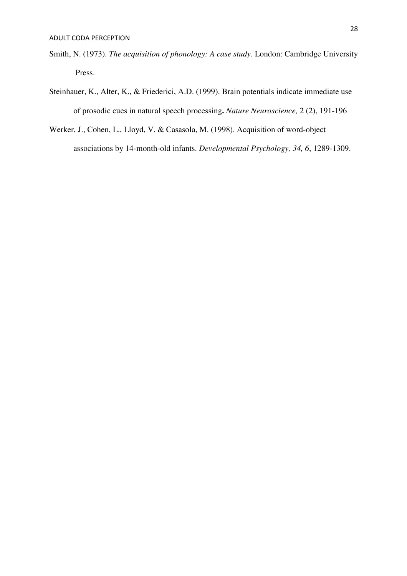- Smith, N. (1973). *The acquisition of phonology: A case study*. London: Cambridge University Press.
- Steinhauer, K., Alter, K., & Friederici, A.D. (1999). Brain potentials indicate immediate use of prosodic cues in natural speech processing**.** *Nature Neuroscience,* 2 (2), 191-196
- Werker, J., Cohen, L., Lloyd, V. & Casasola, M. (1998). Acquisition of word-object associations by 14-month-old infants. *Developmental Psychology, 34, 6*, 1289-1309.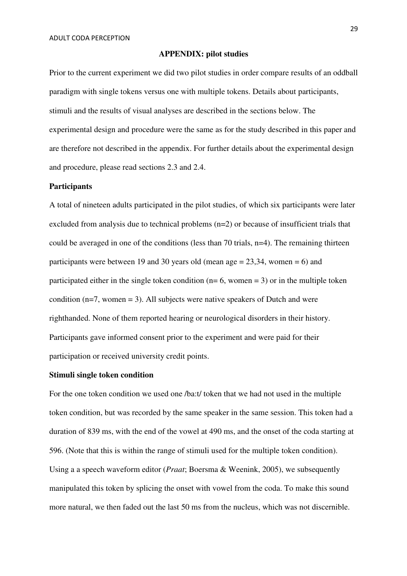#### **APPENDIX: pilot studies**

Prior to the current experiment we did two pilot studies in order compare results of an oddball paradigm with single tokens versus one with multiple tokens. Details about participants, stimuli and the results of visual analyses are described in the sections below. The experimental design and procedure were the same as for the study described in this paper and are therefore not described in the appendix. For further details about the experimental design and procedure, please read sections 2.3 and 2.4.

#### **Participants**

A total of nineteen adults participated in the pilot studies, of which six participants were later excluded from analysis due to technical problems (n=2) or because of insufficient trials that could be averaged in one of the conditions (less than 70 trials, n=4). The remaining thirteen participants were between 19 and 30 years old (mean age  $= 23,34$ , women  $= 6$ ) and participated either in the single token condition ( $n=6$ , women = 3) or in the multiple token condition  $(n=7,$  women = 3). All subjects were native speakers of Dutch and were righthanded. None of them reported hearing or neurological disorders in their history. Participants gave informed consent prior to the experiment and were paid for their participation or received university credit points.

## **Stimuli single token condition**

For the one token condition we used one /ba:t/ token that we had not used in the multiple token condition, but was recorded by the same speaker in the same session. This token had a duration of 839 ms, with the end of the vowel at 490 ms, and the onset of the coda starting at 596. (Note that this is within the range of stimuli used for the multiple token condition). Using a a speech waveform editor (*Praat*; Boersma & Weenink, 2005), we subsequently manipulated this token by splicing the onset with vowel from the coda. To make this sound more natural, we then faded out the last 50 ms from the nucleus, which was not discernible.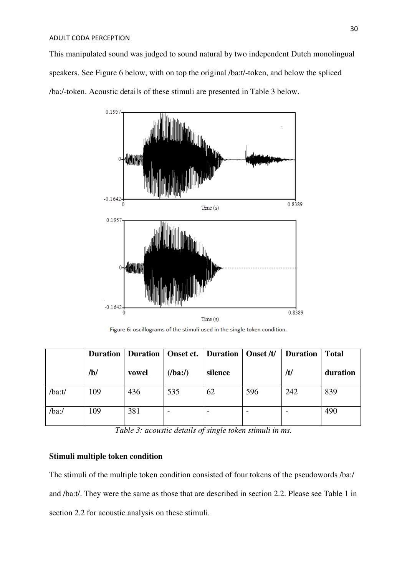This manipulated sound was judged to sound natural by two independent Dutch monolingual speakers. See Figure 6 below, with on top the original /ba:t/-token, and below the spliced /ba:/-token. Acoustic details of these stimuli are presented in Table 3 below.



Figure 6: oscillograms of the stimuli used in the single token condition.

|           | <b>Duration</b> |       | Duration   Onset ct.   Duration   Onset /t/ |                          |     | <b>Duration</b> | <b>Total</b> |
|-----------|-----------------|-------|---------------------------------------------|--------------------------|-----|-----------------|--------------|
|           | /b/             | vowel | (lba:')                                     | silence                  |     | /t/             | duration     |
| $/ba$ :t/ | 109             | 436   | 535                                         | 62                       | 596 | 242             | 839          |
| $/ba$ :/  | 109             | 381   |                                             | $\overline{\phantom{0}}$ |     |                 | 490          |

*Table 3: acoustic details of single token stimuli in ms.*

## **Stimuli multiple token condition**

The stimuli of the multiple token condition consisted of four tokens of the pseudowords /ba:/ and /ba:t/. They were the same as those that are described in section 2.2. Please see Table 1 in section 2.2 for acoustic analysis on these stimuli.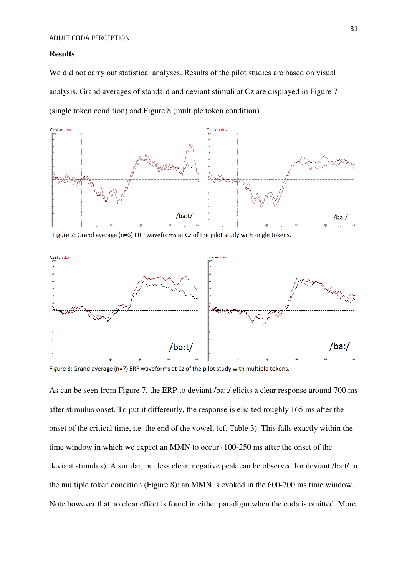#### **Results**

We did not carry out statistical analyses. Results of the pilot studies are based on visual analysis. Grand averages of standard and deviant stimuli at Cz are displayed in Figure 7 (single token condition) and Figure 8 (multiple token condition).



Figure 7: Grand average (n=6) ERP waveforms at Cz of the pilot study with single tokens.



Figure 8: Grand average (n=7) ERP waveforms at Cz of the pilot study with multiple tokens.

As can be seen from Figure 7, the ERP to deviant /ba:t/ elicits a clear response around 700 ms after stimulus onset. To put it differently, the response is elicited roughly 165 ms after the onset of the critical time, i.e. the end of the vowel, (cf. Table 3). This falls exactly within the time window in which we expect an MMN to occur (100-250 ms after the onset of the deviant stimulus). A similar, but less clear, negative peak can be observed for deviant /ba:t/ in the multiple token condition (Figure 8): an MMN is evoked in the 600-700 ms time window. Note however that no clear effect is found in either paradigm when the coda is omitted. More